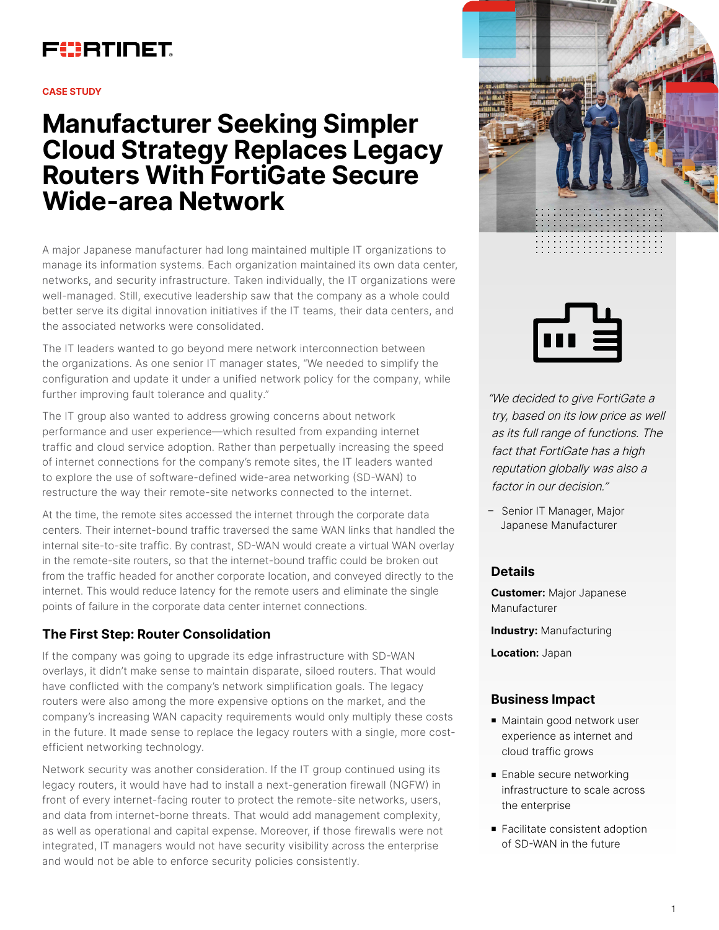## FURTINET

#### **CASE STUDY**

# **Manufacturer Seeking Simpler Cloud Strategy Replaces Legacy Routers With FortiGate Secure Wide-area Network**

A major Japanese manufacturer had long maintained multiple IT organizations to manage its information systems. Each organization maintained its own data center, networks, and security infrastructure. Taken individually, the IT organizations were well-managed. Still, executive leadership saw that the company as a whole could better serve its digital innovation initiatives if the IT teams, their data centers, and the associated networks were consolidated.

The IT leaders wanted to go beyond mere network interconnection between the organizations. As one senior IT manager states, "We needed to simplify the configuration and update it under a unified network policy for the company, while further improving fault tolerance and quality."

The IT group also wanted to address growing concerns about network performance and user experience—which resulted from expanding internet traffic and cloud service adoption. Rather than perpetually increasing the speed of internet connections for the company's remote sites, the IT leaders wanted to explore the use of software-defined wide-area networking (SD-WAN) to restructure the way their remote-site networks connected to the internet.

At the time, the remote sites accessed the internet through the corporate data centers. Their internet-bound traffic traversed the same WAN links that handled the internal site-to-site traffic. By contrast, SD-WAN would create a virtual WAN overlay in the remote-site routers, so that the internet-bound traffic could be broken out from the traffic headed for another corporate location, and conveyed directly to the internet. This would reduce latency for the remote users and eliminate the single points of failure in the corporate data center internet connections.

## **The First Step: Router Consolidation**

If the company was going to upgrade its edge infrastructure with SD-WAN overlays, it didn't make sense to maintain disparate, siloed routers. That would have conflicted with the company's network simplification goals. The legacy routers were also among the more expensive options on the market, and the company's increasing WAN capacity requirements would only multiply these costs in the future. It made sense to replace the legacy routers with a single, more costefficient networking technology.

Network security was another consideration. If the IT group continued using its legacy routers, it would have had to install a next-generation firewall (NGFW) in front of every internet-facing router to protect the remote-site networks, users, and data from internet-borne threats. That would add management complexity, as well as operational and capital expense. Moreover, if those firewalls were not integrated, IT managers would not have security visibility across the enterprise and would not be able to enforce security policies consistently.





"We decided to give FortiGate a try, based on its low price as well as its full range of functions. The fact that FortiGate has a high reputation globally was also a factor in our decision."

– Senior IT Manager, Major Japanese Manufacturer

## **Details**

**Customer:** Major Japanese Manufacturer

**Industry:** Manufacturing

**Location:** Japan

### **Business Impact**

- Maintain good network user experience as internet and cloud traffic grows
- **Enable secure networking** infrastructure to scale across the enterprise
- Facilitate consistent adoption of SD-WAN in the future